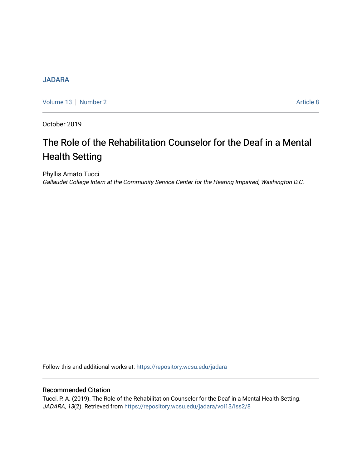# **[JADARA](https://repository.wcsu.edu/jadara)**

[Volume 13](https://repository.wcsu.edu/jadara/vol13) | [Number 2](https://repository.wcsu.edu/jadara/vol13/iss2) Article 8

October 2019

# The Role of the Rehabilitation Counselor for the Deaf in a Mental Health Setting

Phyllis Amato Tucci Gallaudet College Intern at the Community Service Center for the Hearing Impaired, Washington D.C.

Follow this and additional works at: [https://repository.wcsu.edu/jadara](https://repository.wcsu.edu/jadara?utm_source=repository.wcsu.edu%2Fjadara%2Fvol13%2Fiss2%2F8&utm_medium=PDF&utm_campaign=PDFCoverPages)

# Recommended Citation

Tucci, P. A. (2019). The Role of the Rehabilitation Counselor for the Deaf in a Mental Health Setting. JADARA, 13(2). Retrieved from [https://repository.wcsu.edu/jadara/vol13/iss2/8](https://repository.wcsu.edu/jadara/vol13/iss2/8?utm_source=repository.wcsu.edu%2Fjadara%2Fvol13%2Fiss2%2F8&utm_medium=PDF&utm_campaign=PDFCoverPages)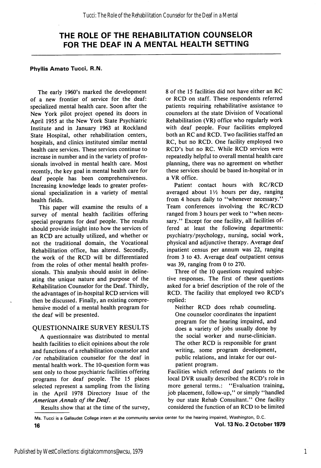#### Phyllis Amato Tucci, R.N.

The early 1960's marked the development of a new frontier of service for the deaf: specialized mental health care. Soon after the New York pilot project opened its doors in April 1955 at the New York State Psychiatric Institute and in January 1963 at Rockland State Hospital, other rehabilitation centers, hospitals, and clinics instituted similar mental health care services. These services continue to increase in number and in the variety of profes sionals involved in mental health care. Most recently, the key goal in mental health care for deaf people has been comprehensiveness. Increasing knowledge leads to greater profes sional specialization in a variety of mental health fields.

This paper will examine the results of a survey of mental health facilities offering special programs for deaf people. The results should provide insight into how the services of an RCD are actually utilized, and whether or not the traditional domain, the Vocational Rehabilitation office, has altered. Secondly, the work of the RCD will be differentiated from the roles of other mental health profes sionals. This analysis should assist in deline ating the unique nature and purpose of the Rehabilitation Counselor for the Deaf. Thirdly, the advantages of in-hospital RCD services will then be discussed. Finally, an existing compre hensive model of a mental health program for the deaf will be presented.

#### QUESTIONNAIRE SURVEY RESULTS

A questionnaire was distributed to mental health facilities to elicit opinions about the role and functions of a rehabilitation counselor and /or rehabilitation counselor for the deaf in mental health work. The 10-question form was sent only to those psychiatric facilities offering programs for deaf people. The 15 places selected represent a sampling from the listing in the April 1978 Directory Issue of the American Annals of the Deaf.

Results show that at the time of the survey.

8 of the 15 facilities did not have either an RC or RCD on staff. These respondents referred patients requiring rehabilitative assistance to counselors at the state Division of Vocational Rehabilitation (VR) office who regularly work with deaf people. Four facilities employed both an RC and RCD. Two facilities staffed an RC, but no RCD. One facility employed two RCD's but no RC. While RCD services were repeatedly helpful to overall mental health care planning, there was no agreement on whether these services should be based in-hospital or in a VR office.

Patient contact hours with RC/RCD averaged about  $1\frac{1}{2}$  hours per day, ranging from 4 hours daily to "whenever necessary." Team conferences involving the RC/RCD ranged from 3 hours per week to "when necessary." Except for one facility, all facilities offered at least the following departments: psychiatry/psychology, nursing, social work, physical and adjunctive therapy. Average deaf inpatient census per annum was 22, ranging from 3 to 43. Average deaf outpatient census was 39, ranging from 0 to 270.

Three of the 10 questions required subjec tive responses. The first of these questions asked for a brief description of the role of the RCD. The facility that employed two RCD's replied:

Neither RCD does rehab counseling. One counselor coordinates the inpatient program for the hearing impaired, and does a variety of jobs usually done by the social worker and nurse-clinician. The other RCD is responsible for grant writing, some program development, public relations, and intake for our out patient program.

Facilities which referred deaf patients to the local DVR usually described the RCD's role in more general terms.: ''Evaluation training, job placement, follow-up," or simply "handled by our state Rehab Consultant." One facility considered the function of an RCD to be limited

1

Ms. Tucci is a Gallaudet College intern at the community service center for the hearing impaired, Washington, D.C. 16 Vol. 13 No. 2 October 1979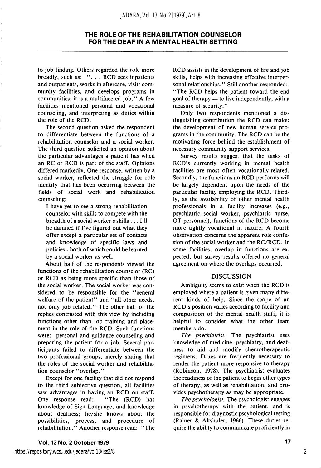#### *JADARA, Vol. 13, No. 2 [1979], Art. 8*

# THE ROLE OF THE REHABILITATION COUNSELOR FOR THE DEAF IN A MENTAL HEALTH SETTING

to job finding. Others regarded the role more broadly, such as: ". . . RCD sees inpatients and outpatients, works in aftercare, visits com munity facilities, and develops programs in communities; it is a multifaceted job." A few facilities mentioned personal and vocational counseling, and interpreting as duties within the role of the RCD.

The second question asked the respondent to differentiate between the functions of a rehabilitation counselor and a social worker. The third question solicited an opinion about the particular advantages a patient has when an RC or RCD is part of the staff. Opinions differed markedly. One response, written by a social worker, reflected the struggle for role identify that has been occurring between the fields of social work and rehabilitation counseling:

I have yet to see a strong rehabilitation counselor with skills to compete with the breadth of a social worker's skills... I'll be damned if I've figured out what they offer except a particular set of contacts and knowledge of specific laws and policies - both of which could be learned by a social worker as well.

About half of the respondents viewed the functions of the rehabilitation counselor (RC) or RCD as being more specific than those of the social worker. The social worker was con sidered to be responsible for the "general welfare of the patient" and ''all other needs, not only job related." The other half of the replies contrasted with this view by including functions other than job training and place ment in the role of the RCD. Such functions were: personal and guidance counseling and preparing the patient for a job. Several par ticipants failed to differentiate between the two professional groups, merely stating that the roles of the social worker and rehabilita tion counselor "overlap."

Except for one facility that did not respond to the third subjective question, all facilities saw advantages in having an RCD on staff. One response read: "The (RCD) has knowledge of Sign Language, and knowledge about deafness; he/she knows about the possibilities, process, and procedure of rehabilitation." Another response read: "The RCD assists in the development of life and job skills, helps with increasing effective interper sonal relationships." Still another responded: "The RCD helps the patient toward the end goal of therapy — to live independently, with a measure of security."

Only two respondents mentioned a dis tinguishing contribution the RCD can make: the development of new human service pro grams in the community. The RCD can be the motivating force behind the establishment of necessary community support services.

Survey results suggest that the tasks of RCD's currently working in mental health facilities are most often vocationally-related. Secondly, the functions an RCD performs will be largely dependent upon the needs of the particular facility employing the RCD. Third ly, as the availability of other mental health professionals in a facility increases (e.g., psychiatric social worker, psychiatric nurse, OT personnel), functions of the RCD become more tightly vocational in nature. A fourth observation concerns the apparent role confu sion of the social worker and the RC/RCD. In some facilities, overlap in functions are ex pected, but survey results offered no general agreement on where the overlaps occurred.

#### DISCUSSION

Ambiguity seems to exist when the RCD is employed where a patient is given many diffe rent kinds of help. Since the scope of an RCD's position varies according to facility and composition of the mental health staff, it is helpful to consider what the other team members do.

The *psychiatrist*. The psychiatrist uses knowledge of medicine, psychiatry, and deaf ness to aid and modify chemotherapeutic regimens. Drugs are frequently necessary to render the patient more responsive to therapy (Robinson, 1978). The psychiatrist evaluates the readiness of the patient to begin other types of therapy, as well as rehabilitation, and pro vides psychotherapy as may be appropriate.

The *psychologist*. The psychologist engages in psychotherapy with the patient, and is responsible for diagnostic pscyhological testing (Rainer & Altshuler, 1966). These duties re quire the ability to communicate proficiently in

2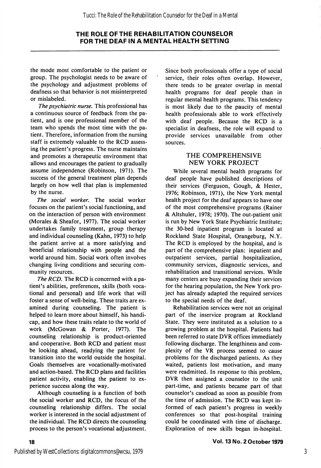the mode most comfortable to the patient or group. The psychologist needs to be aware of the psychology and adjustment problems of deafness so that behavior is not misinterpreted or mislabeled.

The psychiatric nurse. This professional has a continuous source of feedback from the pa tient, and is one professional member of the team who spends the most time with the pa tient. Therefore, information from the nursing staff is extremely valuable to the RCD assess ing the patient's progress. The nurse maintains and promotes a therapeutic environment that allows and encourages the patient to gradually assume independence (Robinson, 1971). The success of the general treatment plan depends largely on how well that plan is implemented by the nurse.

The social worker. The social worker focuses on the patient's social functioning, and on the interaction of person with environment (Morales & Sheafor, 1977). The social worker undertakes family treatment, group therapy and individual counseling (Kahn, 1973) to help the patient arrive at a more satisfying and beneficial relationship with people and the world around him. Social work often involves changing living conditions and securing com munity resources.

The RCD. The RCD is concerned with a patient's abilities, preferences, skills (both voca tional and personal) and life work that will foster a sense of well-being. These traits are ex amined during counseling. The patient is helped to learn more about himself, his handi cap, and how these traits relate to the world of work (McGowan & Porter, 1977). The counseling relationship is product-oriented and cooperative. Both RCD and patient must be looking ahead, readying the patient for transition into the world outside the hospital. Goals themselves are vocationally-motivated and action-based. The RCD plans and facilities patient activity, enabling the patient to ex perience success along the way.

Although counseling is a function of both the social worker and RCD, the focus of the counseling relationship differs. The social worker is interested in the social adjustment of the individual. The RCD directs the counseling process to the person's vocational adjustment.

Since both professionals offer a type of social service, their roles often overlap. However, there tends to be greater overlap in mental health programs for deaf people than in regular mental health programs. This tendency is most likely due to the paucity of mental health professionals able to work effectively with deaf people. Because the RCD is a specialist in deafness, the role will expand to provide services unavailable from other sources.

# THE COMPREHENSIVE NEW YORK PROJECT

While several mental health programs for deaf people have published descriptions of their services (Ferguson, Gough, & Hester, 1976; Robinson, 1971), the New York mental health project for the deaf appears to have one of the most comprehensive programs (Rainer & Altshuler, 1978; 1970). The out-patient unit is run by New York State Psychiatric Institute; the 30-bed inpatient program is located at Rockland State Hospital, Orangeburg, N.Y. The RCD is employed by the hospital, and is part of the comprehensive plan: inpatient and outpatient services, partial hospitalization, community services, diagnostic services, and rehabilitation and transitional services. While many centers are busy expanding their services for the hearing population, the New York pro ject has already adapted the required services to the special needs of the deaf.

Rehabilitation services were not an original part of the inservice program at Rockland State. They were instituted as a solution to a growing problem at the hospital. Patients had been referred to state DVR offices immediately following discharge. The lengthiness and com plexity of the VR process seemed to cause problems for the discharged patients. As they waited, patients lost motivation, and many were readmitted. In response to this problem, DVR then assigned a counselor to the unit part-time, and patients became part of that counselor's caseload as soon as possible from the time of admission. The RCD was kept in formed of each patient's progress in weekly conferences so that post-hospital training could be coordinated with time of discharge. Exploration of new skills began in-hospital.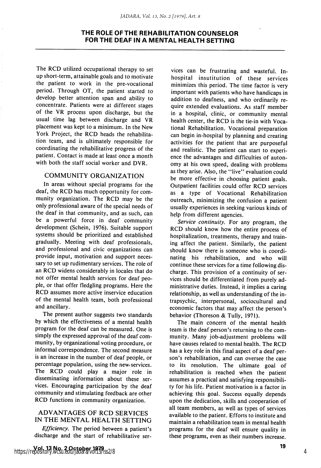The RCD utilized occupational therapy to set up short-term, attainable goals and to motivate the patient to work in the pre-vocational period. Through OT, the patient started to develop better attention span and ability to concentrate. Patients were at different stages of the VR process upon discharge, but the usual time lag between discharge and VR placement was kept to a minimum. In the New York Project, the RCD heads the rehabilita tion team, and is ultimately responsible for coordinating the rehabilitative progress of the patient. Contact is made at least once a month with both the staff social worker and DVR.

# COMMUNITY ORGANIZATION

In areas without special programs for the deaf, the RCD has much opportunity for com munity organization. The RCD may be the only professional aware of the special needs of the deaf in that community, and as such, can be a powerful force in deaf community development (Schein, 1976). Suitable support systems should be prioritized and established gradually. Meeting with deaf professionals, and professional and civic organizations can provide input, motivation and support neces sary to set up rudimentary services. The role of an RCD widens considerably in locales that do not offer mental health services for deaf peo ple, or that offer fledgling programs. Here the RCD assumes more active inservice education of the mental health team, both professional and ancillary.

The present author suggests two standards by which the effectiveness of a mental health program for the deaf can be measured. One is simply the expressed approval of the deaf com munity, by organizational voting procedure, or informal correspondence. The second measure is an increase in the number of deaf people, or percentage population, using the new services. The RCD could play a major role in disseminating information about these ser vices. Encouraging participation by the deaf community and stimulating feedback are other RCD functions in community organization.

#### ADVANTAGES OF RCD SERVICES IN THE MENTAL HEALTH SETTING

Efficiency. The period between a patient's discharge and the start of rehabilitative ser-

vices can be frustrating and wasteful. Inhospital insutitution of these services minimizes this period. The time factor is very important with patients who have handicaps in addition to deafness, and who ordinarily re quire extended evaluations. As staff member in a hospital, clinic, or community mental health center, the RCD is the tie-in with Voca tional Rehabilitation. Vocational preparation can begin in-hospital by planning and creating activities for the patient that are purposeful and realistic. The patient can start to experi ence the advantages and difficulties of auton omy at his own speed, dealing with problems as they arise. Also, the "live" evaluation could be more effective in choosing patient goals. Outpatient facilities could offer RCD services as a type of Vocational Rehabilitation outreach, minimizing the confusion a patient usually experiences in seeking various kinds of help from different agencies.

Service continuity. For any program, the RCD should know how the entire process of hospitalization, treatments, therapy and train ing affect the patient. Similarly, the patient should know there is someone who is coordi nating his rehabilitation, and who will continue these services for a time following dis charge. This provision of a continuity of ser vices should be differentiated from purely ad ministrative duties. Instead, it implies a caring relationship, as well as understanding of the intrapsychic, interpersonal, sociocultural and economic factors that may affect the person's behavior (Thoreson & Tully, 1971).

The main concern of the mental health team is the deaf person's returning to the com munity. Many job-adjustment problems will have causes related to mental health. The RCD has a key role in this final aspect of a deaf per son's rehabilitation, and can oversee the case to its resolution. The ultimate goal of rehabilitation is reached when the patient assumes a practical and satisfying responsibili ty for his life. Patient motivation is a factor in achieving this goal. Success equally depends upon the dedication, skills and cooperation of all team members, as well as types of services available to the patient. Efforts to institute and maintain a rehabilitation team in mental health programs for the deaf will ensure quality in these programs, even as their numbers increase.

4